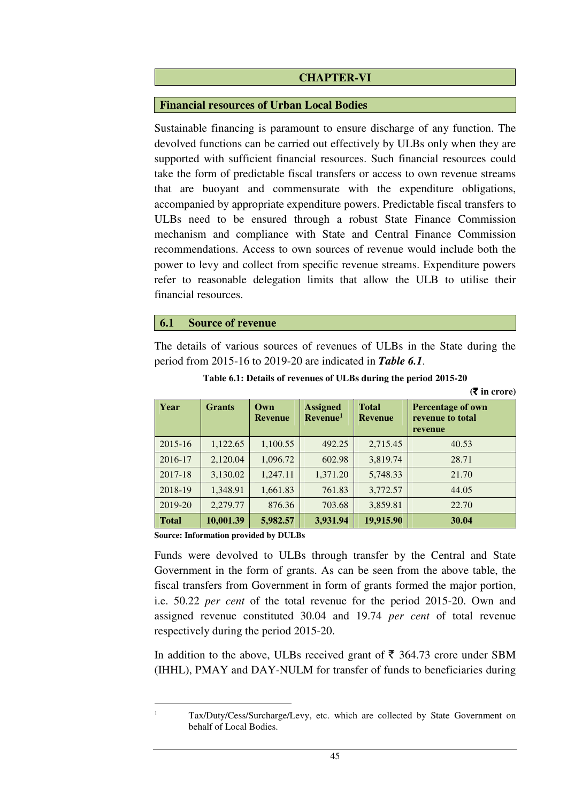### **CHAPTER-VI**

#### **Financial resources of Urban Local Bodies**

Sustainable financing is paramount to ensure discharge of any function. The devolved functions can be carried out effectively by ULBs only when they are supported with sufficient financial resources. Such financial resources could take the form of predictable fiscal transfers or access to own revenue streams that are buoyant and commensurate with the expenditure obligations, accompanied by appropriate expenditure powers. Predictable fiscal transfers to ULBs need to be ensured through a robust State Finance Commission mechanism and compliance with State and Central Finance Commission recommendations. Access to own sources of revenue would include both the power to levy and collect from specific revenue streams. Expenditure powers refer to reasonable delegation limits that allow the ULB to utilise their financial resources.

#### **6.1 Source of revenue**

The details of various sources of revenues of ULBs in the State during the period from 2015-16 to 2019-20 are indicated in *Table 6.1*.

| Year         | <b>Grants</b> | $Q$ wn<br><b>Revenue</b> | <b>Assigned</b><br>Revenue <sup>1</sup> | <b>Total</b><br><b>Revenue</b> | <b>Percentage of own</b><br>revenue to total<br>revenue |
|--------------|---------------|--------------------------|-----------------------------------------|--------------------------------|---------------------------------------------------------|
| $2015 - 16$  | 1,122.65      | 1,100.55                 | 492.25                                  | 2,715.45                       | 40.53                                                   |
| 2016-17      | 2,120.04      | 1,096.72                 | 602.98                                  | 3,819.74                       | 28.71                                                   |
| 2017-18      | 3,130.02      | 1,247.11                 | 1,371.20                                | 5,748.33                       | 21.70                                                   |
| 2018-19      | 1,348.91      | 1,661.83                 | 761.83                                  | 3,772.57                       | 44.05                                                   |
| 2019-20      | 2,279.77      | 876.36                   | 703.68                                  | 3,859.81                       | 22.70                                                   |
| <b>Total</b> | 10,001.39     | 5,982.57                 | 3,931.94                                | 19,915.90                      | 30.04                                                   |

| Table 6.1: Details of revenues of ULBs during the period 2015-20 |  |  |
|------------------------------------------------------------------|--|--|
|                                                                  |  |  |

**(**` **in crore)**

**Source: Information provided by DULBs** 

Funds were devolved to ULBs through transfer by the Central and State Government in the form of grants. As can be seen from the above table, the fiscal transfers from Government in form of grants formed the major portion, i.e. 50.22 *per cent* of the total revenue for the period 2015-20. Own and assigned revenue constituted 30.04 and 19.74 *per cent* of total revenue respectively during the period 2015-20.

In addition to the above, ULBs received grant of  $\bar{\tau}$  364.73 crore under SBM (IHHL), PMAY and DAY-NULM for transfer of funds to beneficiaries during

l 1

Tax/Duty/Cess/Surcharge/Levy, etc. which are collected by State Government on behalf of Local Bodies.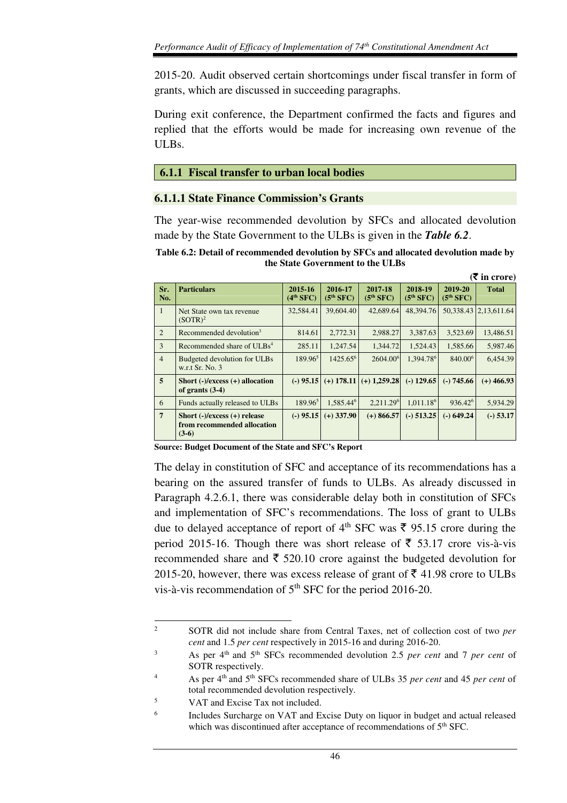2015-20. Audit observed certain shortcomings under fiscal transfer in form of grants, which are discussed in succeeding paragraphs.

During exit conference, the Department confirmed the facts and figures and replied that the efforts would be made for increasing own revenue of the ULBs.

### **6.1.1 Fiscal transfer to urban local bodies**

### **6.1.1.1 State Finance Commission's Grants**

The year-wise recommended devolution by SFCs and allocated devolution made by the State Government to the ULBs is given in the *Table 6.2*.

**Table 6.2: Detail of recommended devolution by SFCs and allocated devolution made by the State Government to the ULBs** 

|                |                                                                             |                        |                        |                                     |                                  |                        | $($ ₹ in crore)              |
|----------------|-----------------------------------------------------------------------------|------------------------|------------------------|-------------------------------------|----------------------------------|------------------------|------------------------------|
| Sr.<br>No.     | <b>Particulars</b>                                                          | 2015-16<br>$(4th$ SFC) | 2016-17<br>$(5th$ SFC) | 2017-18<br>(5 <sup>th</sup> SFC)    | 2018-19<br>(5 <sup>th</sup> SFC) | 2019-20<br>$(5th$ SFC) | <b>Total</b>                 |
| $\overline{1}$ | Net State own tax revenue<br>$(SOTR)^2$                                     | 32,584.41              | 39,604.40              | 42,689.64                           | 48,394.76                        |                        | 50, 338. 43   2, 13, 611. 64 |
| 2              | Recommended devolution <sup>3</sup>                                         | 814.61                 | 2,772.31               | 2,988.27                            | 3,387.63                         | 3,523.69               | 13,486.51                    |
| 3              | Recommended share of ULBs <sup>4</sup>                                      | 285.11                 | 1.247.54               | 1,344.72                            | 1.524.43                         | 1,585.66               | 5,987.46                     |
| $\overline{4}$ | Budgeted devolution for ULBs<br>w.r.t Sr. No. 3                             | $189.96^5$             | $1425.65^6$            | 2604.00 <sup>6</sup>                | 1.394.78 <sup>6</sup>            | 840.00 <sup>6</sup>    | 6,454.39                     |
| $\overline{5}$ | Short $(-)/$ excess $(+)$ allocation<br>of grants $(3-4)$                   |                        |                        | $(-)$ 95.15 (+) 178.11 (+) 1,259.28 | $(-)$ 129.65                     | $(-) 745.66$           | $(+)$ 466.93                 |
| 6              | Funds actually released to ULBs                                             | $189.96^5$             | 1.585.44 <sup>6</sup>  | 2,211.29 <sup>6</sup>               | 1,011.18 <sup>6</sup>            | 936.42 <sup>6</sup>    | 5,934.29                     |
| $\overline{7}$ | Short $(-)/$ excess $(+)$ release<br>from recommended allocation<br>$(3-6)$ | $(-)$ 95.15            | $(+)$ 337.90           | $(+)$ 866.57                        | $(-)$ 513.25                     | $(-) 649.24$           | $(-)$ 53.17                  |

**Source: Budget Document of the State and SFC's Report** 

The delay in constitution of SFC and acceptance of its recommendations has a bearing on the assured transfer of funds to ULBs. As already discussed in Paragraph 4.2.6.1, there was considerable delay both in constitution of SFCs and implementation of SFC's recommendations. The loss of grant to ULBs due to delayed acceptance of report of 4<sup>th</sup> SFC was  $\bar{\tau}$  95.15 crore during the period 2015-16. Though there was short release of  $\bar{\xi}$  53.17 crore vis-à-vis recommended share and  $\bar{\tau}$  520.10 crore against the budgeted devolution for 2015-20, however, there was excess release of grant of  $\bar{\tau}$  41.98 crore to ULBs vis-à-vis recommendation of 5<sup>th</sup> SFC for the period 2016-20.

2 SOTR did not include share from Central Taxes, net of collection cost of two *per cent* and 1.5 *per cent* respectively in 2015-16 and during 2016-20.

 $\overline{a}$ 

<sup>3</sup> As per 4th and 5th SFCs recommended devolution 2.5 *per cent* and 7 *per cent* of SOTR respectively.

<sup>4</sup> As per 4th and 5th SFCs recommended share of ULBs 35 *per cent* and 45 *per cent* of total recommended devolution respectively.

<sup>5</sup> VAT and Excise Tax not included.

<sup>6</sup> Includes Surcharge on VAT and Excise Duty on liquor in budget and actual released which was discontinued after acceptance of recommendations of 5<sup>th</sup> SFC.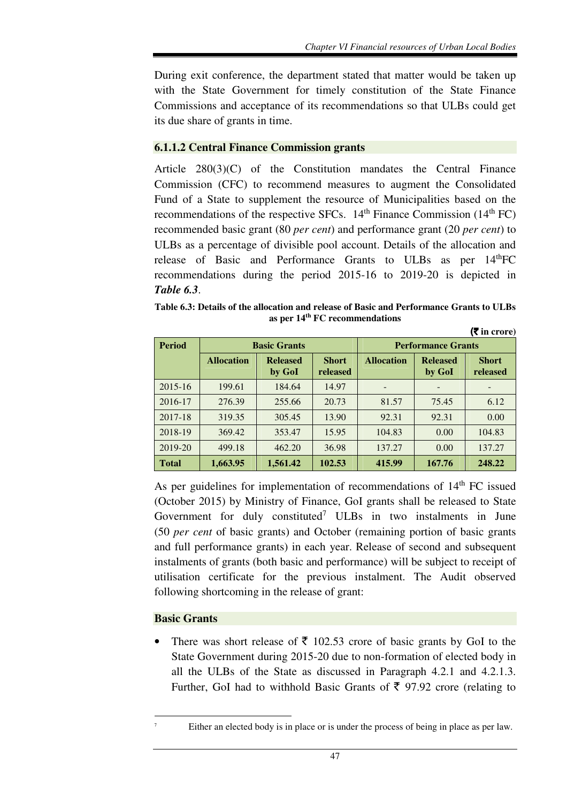During exit conference, the department stated that matter would be taken up with the State Government for timely constitution of the State Finance Commissions and acceptance of its recommendations so that ULBs could get its due share of grants in time.

### **6.1.1.2 Central Finance Commission grants**

Article 280(3)(C) of the Constitution mandates the Central Finance Commission (CFC) to recommend measures to augment the Consolidated Fund of a State to supplement the resource of Municipalities based on the recommendations of the respective SFCs.  $14<sup>th</sup>$  Finance Commission ( $14<sup>th</sup>$  FC) recommended basic grant (80 *per cent*) and performance grant (20 *per cent*) to ULBs as a percentage of divisible pool account. Details of the allocation and release of Basic and Performance Grants to ULBs as per 14<sup>th</sup>FC recommendations during the period 2015-16 to 2019-20 is depicted in *Table 6.3*.

**Table 6.3: Details of the allocation and release of Basic and Performance Grants to ULBs as per 14th FC recommendations**  (` **in crore)** 

| <b>Period</b> | <b>Basic Grants</b> |                           |                          |                   | <b>Performance Grants</b> |                          |
|---------------|---------------------|---------------------------|--------------------------|-------------------|---------------------------|--------------------------|
|               | <b>Allocation</b>   | <b>Released</b><br>by GoI | <b>Short</b><br>released | <b>Allocation</b> | <b>Released</b><br>by GoI | <b>Short</b><br>released |
| 2015-16       | 199.61              | 184.64                    | 14.97                    |                   |                           |                          |
| 2016-17       | 276.39              | 255.66                    | 20.73                    | 81.57             | 75.45                     | 6.12                     |
| 2017-18       | 319.35              | 305.45                    | 13.90                    | 92.31             | 92.31                     | 0.00                     |
| 2018-19       | 369.42              | 353.47                    | 15.95                    | 104.83            | 0.00                      | 104.83                   |
| 2019-20       | 499.18              | 462.20                    | 36.98                    | 137.27            | 0.00                      | 137.27                   |
| <b>Total</b>  | 1,663.95            | 1,561.42                  | 102.53                   | 415.99            | 167.76                    | 248.22                   |

As per guidelines for implementation of recommendations of  $14<sup>th</sup>$  FC issued (October 2015) by Ministry of Finance, GoI grants shall be released to State Government for duly constituted<sup>7</sup> ULBs in two instalments in June (50 *per cent* of basic grants) and October (remaining portion of basic grants and full performance grants) in each year. Release of second and subsequent instalments of grants (both basic and performance) will be subject to receipt of utilisation certificate for the previous instalment. The Audit observed following shortcoming in the release of grant:

### **Basic Grants**

l

There was short release of  $\bar{\tau}$  102.53 crore of basic grants by GoI to the State Government during 2015-20 due to non-formation of elected body in all the ULBs of the State as discussed in Paragraph 4.2.1 and 4.2.1.3. Further, GoI had to withhold Basic Grants of  $\bar{\tau}$  97.92 crore (relating to

<sup>7</sup> Either an elected body is in place or is under the process of being in place as per law.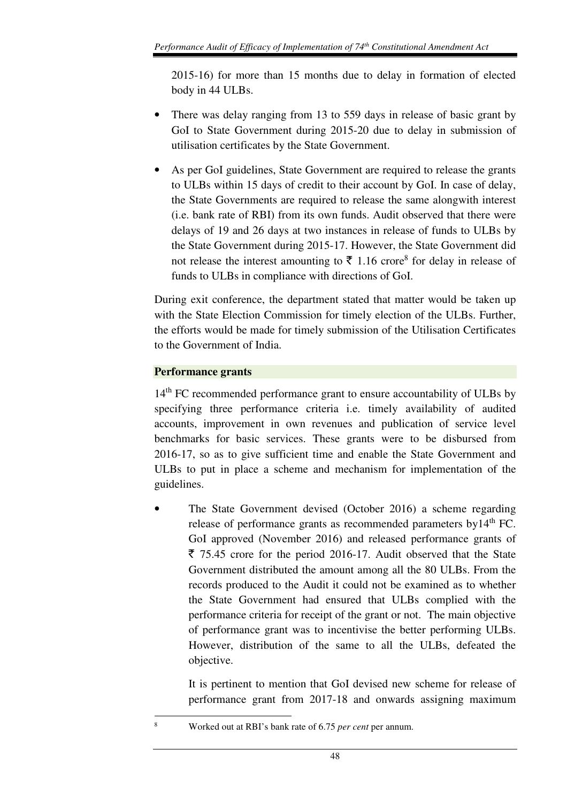2015-16) for more than 15 months due to delay in formation of elected body in 44 ULBs.

- There was delay ranging from 13 to 559 days in release of basic grant by GoI to State Government during 2015-20 due to delay in submission of utilisation certificates by the State Government.
- As per GoI guidelines, State Government are required to release the grants to ULBs within 15 days of credit to their account by GoI. In case of delay, the State Governments are required to release the same alongwith interest (i.e. bank rate of RBI) from its own funds. Audit observed that there were delays of 19 and 26 days at two instances in release of funds to ULBs by the State Government during 2015-17. However, the State Government did not release the interest amounting to  $\bar{\tau}$  1.16 crore<sup>8</sup> for delay in release of funds to ULBs in compliance with directions of GoI.

During exit conference, the department stated that matter would be taken up with the State Election Commission for timely election of the ULBs. Further, the efforts would be made for timely submission of the Utilisation Certificates to the Government of India.

## **Performance grants**

l

14<sup>th</sup> FC recommended performance grant to ensure accountability of ULBs by specifying three performance criteria i.e. timely availability of audited accounts, improvement in own revenues and publication of service level benchmarks for basic services. These grants were to be disbursed from 2016-17, so as to give sufficient time and enable the State Government and ULBs to put in place a scheme and mechanism for implementation of the guidelines.

• The State Government devised (October 2016) a scheme regarding release of performance grants as recommended parameters by14<sup>th</sup> FC. GoI approved (November 2016) and released performance grants of  $\bar{\xi}$  75.45 crore for the period 2016-17. Audit observed that the State Government distributed the amount among all the 80 ULBs. From the records produced to the Audit it could not be examined as to whether the State Government had ensured that ULBs complied with the performance criteria for receipt of the grant or not. The main objective of performance grant was to incentivise the better performing ULBs. However, distribution of the same to all the ULBs, defeated the objective.

It is pertinent to mention that GoI devised new scheme for release of performance grant from 2017-18 and onwards assigning maximum

<sup>8</sup> Worked out at RBI's bank rate of 6.75 *per cent* per annum.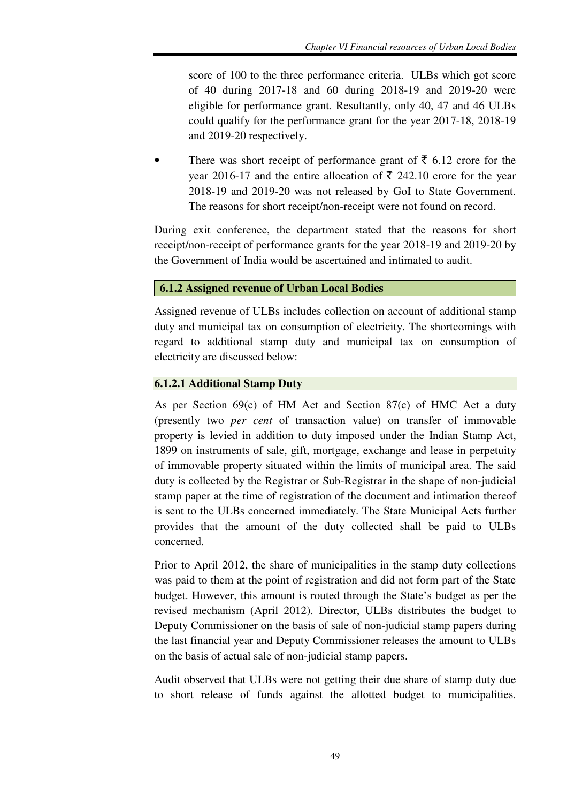score of 100 to the three performance criteria. ULBs which got score of 40 during 2017-18 and 60 during 2018-19 and 2019-20 were eligible for performance grant. Resultantly, only 40, 47 and 46 ULBs could qualify for the performance grant for the year 2017-18, 2018-19 and 2019-20 respectively.

There was short receipt of performance grant of  $\bar{\tau}$  6.12 crore for the year 2016-17 and the entire allocation of  $\bar{\tau}$  242.10 crore for the year 2018-19 and 2019-20 was not released by GoI to State Government. The reasons for short receipt/non-receipt were not found on record.

During exit conference, the department stated that the reasons for short receipt/non-receipt of performance grants for the year 2018-19 and 2019-20 by the Government of India would be ascertained and intimated to audit.

# **6.1.2 Assigned revenue of Urban Local Bodies**

Assigned revenue of ULBs includes collection on account of additional stamp duty and municipal tax on consumption of electricity. The shortcomings with regard to additional stamp duty and municipal tax on consumption of electricity are discussed below:

## **6.1.2.1 Additional Stamp Duty**

As per Section 69(c) of HM Act and Section 87(c) of HMC Act a duty (presently two *per cent* of transaction value) on transfer of immovable property is levied in addition to duty imposed under the Indian Stamp Act, 1899 on instruments of sale, gift, mortgage, exchange and lease in perpetuity of immovable property situated within the limits of municipal area. The said duty is collected by the Registrar or Sub-Registrar in the shape of non-judicial stamp paper at the time of registration of the document and intimation thereof is sent to the ULBs concerned immediately. The State Municipal Acts further provides that the amount of the duty collected shall be paid to ULBs concerned.

Prior to April 2012, the share of municipalities in the stamp duty collections was paid to them at the point of registration and did not form part of the State budget. However, this amount is routed through the State's budget as per the revised mechanism (April 2012). Director, ULBs distributes the budget to Deputy Commissioner on the basis of sale of non-judicial stamp papers during the last financial year and Deputy Commissioner releases the amount to ULBs on the basis of actual sale of non-judicial stamp papers.

Audit observed that ULBs were not getting their due share of stamp duty due to short release of funds against the allotted budget to municipalities.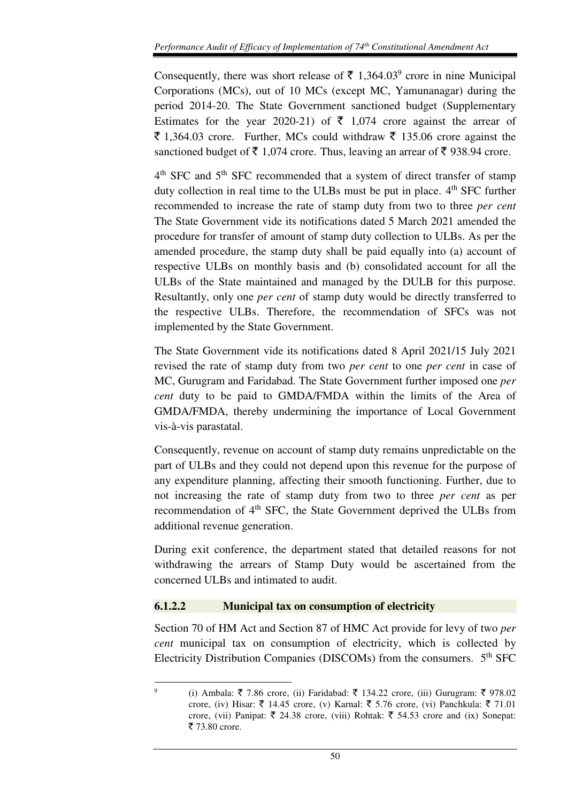Consequently, there was short release of  $\bar{\tau}$  1,364.03<sup>9</sup> crore in nine Municipal Corporations (MCs), out of 10 MCs (except MC, Yamunanagar) during the period 2014-20. The State Government sanctioned budget (Supplementary Estimates for the year 2020-21) of  $\bar{\xi}$  1,074 crore against the arrear of  $\bar{\xi}$  1,364.03 crore. Further, MCs could withdraw  $\bar{\xi}$  135.06 crore against the sanctioned budget of  $\bar{\tau}$  1,074 crore. Thus, leaving an arrear of  $\bar{\tau}$  938.94 crore.

4<sup>th</sup> SFC and 5<sup>th</sup> SFC recommended that a system of direct transfer of stamp duty collection in real time to the ULBs must be put in place. 4<sup>th</sup> SFC further recommended to increase the rate of stamp duty from two to three *per cent* The State Government vide its notifications dated 5 March 2021 amended the procedure for transfer of amount of stamp duty collection to ULBs. As per the amended procedure, the stamp duty shall be paid equally into (a) account of respective ULBs on monthly basis and (b) consolidated account for all the ULBs of the State maintained and managed by the DULB for this purpose. Resultantly, only one *per cent* of stamp duty would be directly transferred to the respective ULBs. Therefore, the recommendation of SFCs was not implemented by the State Government.

The State Government vide its notifications dated 8 April 2021/15 July 2021 revised the rate of stamp duty from two *per cent* to one *per cent* in case of MC, Gurugram and Faridabad. The State Government further imposed one *per cent* duty to be paid to GMDA/FMDA within the limits of the Area of GMDA/FMDA, thereby undermining the importance of Local Government vis-à-vis parastatal.

Consequently, revenue on account of stamp duty remains unpredictable on the part of ULBs and they could not depend upon this revenue for the purpose of any expenditure planning, affecting their smooth functioning. Further, due to not increasing the rate of stamp duty from two to three *per cent* as per recommendation of 4<sup>th</sup> SFC, the State Government deprived the ULBs from additional revenue generation.

During exit conference, the department stated that detailed reasons for not withdrawing the arrears of Stamp Duty would be ascertained from the concerned ULBs and intimated to audit.

### **6.1.2.2 Municipal tax on consumption of electricity**

l

Section 70 of HM Act and Section 87 of HMC Act provide for levy of two *per cent* municipal tax on consumption of electricity, which is collected by Electricity Distribution Companies (DISCOMs) from the consumers.  $5<sup>th</sup>$  SFC

<sup>9</sup> (i) Ambala:  $\bar{\xi}$  7.86 crore, (ii) Faridabad:  $\bar{\xi}$  134.22 crore, (iii) Gurugram:  $\bar{\xi}$  978.02 crore, (iv) Hisar:  $\bar{\tau}$  14.45 crore, (v) Karnal:  $\bar{\tau}$  5.76 crore, (vi) Panchkula:  $\bar{\tau}$  71.01 crore, (vii) Panipat:  $\bar{\xi}$  24.38 crore, (viii) Rohtak:  $\bar{\xi}$  54.53 crore and (ix) Sonepat:  $\overline{5}$  73.80 crore.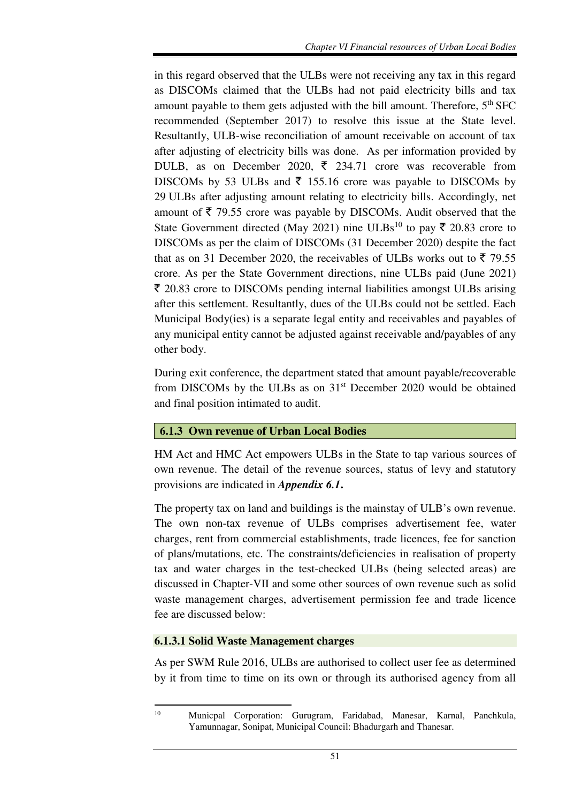in this regard observed that the ULBs were not receiving any tax in this regard as DISCOMs claimed that the ULBs had not paid electricity bills and tax amount payable to them gets adjusted with the bill amount. Therefore,  $5<sup>th</sup>$  SFC recommended (September 2017) to resolve this issue at the State level. Resultantly, ULB-wise reconciliation of amount receivable on account of tax after adjusting of electricity bills was done. As per information provided by DULB, as on December 2020,  $\bar{\tau}$  234.71 crore was recoverable from DISCOMs by 53 ULBs and  $\bar{\tau}$  155.16 crore was payable to DISCOMs by 29 ULBs after adjusting amount relating to electricity bills. Accordingly, net amount of  $\bar{\tau}$  79.55 crore was payable by DISCOMs. Audit observed that the State Government directed (May 2021) nine ULBs<sup>10</sup> to pay  $\bar{\tau}$  20.83 crore to DISCOMs as per the claim of DISCOMs (31 December 2020) despite the fact that as on 31 December 2020, the receivables of ULBs works out to  $\bar{z}$  79.55 crore. As per the State Government directions, nine ULBs paid (June 2021)  $\bar{\tau}$  20.83 crore to DISCOMs pending internal liabilities amongst ULBs arising after this settlement. Resultantly, dues of the ULBs could not be settled. Each Municipal Body(ies) is a separate legal entity and receivables and payables of any municipal entity cannot be adjusted against receivable and/payables of any other body.

During exit conference, the department stated that amount payable/recoverable from DISCOMs by the ULBs as on 31<sup>st</sup> December 2020 would be obtained and final position intimated to audit.

### **6.1.3 Own revenue of Urban Local Bodies**

HM Act and HMC Act empowers ULBs in the State to tap various sources of own revenue. The detail of the revenue sources, status of levy and statutory provisions are indicated in *Appendix 6.1***.** 

The property tax on land and buildings is the mainstay of ULB's own revenue. The own non-tax revenue of ULBs comprises advertisement fee, water charges, rent from commercial establishments, trade licences, fee for sanction of plans/mutations, etc. The constraints/deficiencies in realisation of property tax and water charges in the test-checked ULBs (being selected areas) are discussed in Chapter-VII and some other sources of own revenue such as solid waste management charges, advertisement permission fee and trade licence fee are discussed below:

### **6.1.3.1 Solid Waste Management charges**

 $\overline{a}$ 

As per SWM Rule 2016, ULBs are authorised to collect user fee as determined by it from time to time on its own or through its authorised agency from all

<sup>10</sup> Municpal Corporation: Gurugram, Faridabad, Manesar, Karnal, Panchkula, Yamunnagar, Sonipat, Municipal Council: Bhadurgarh and Thanesar.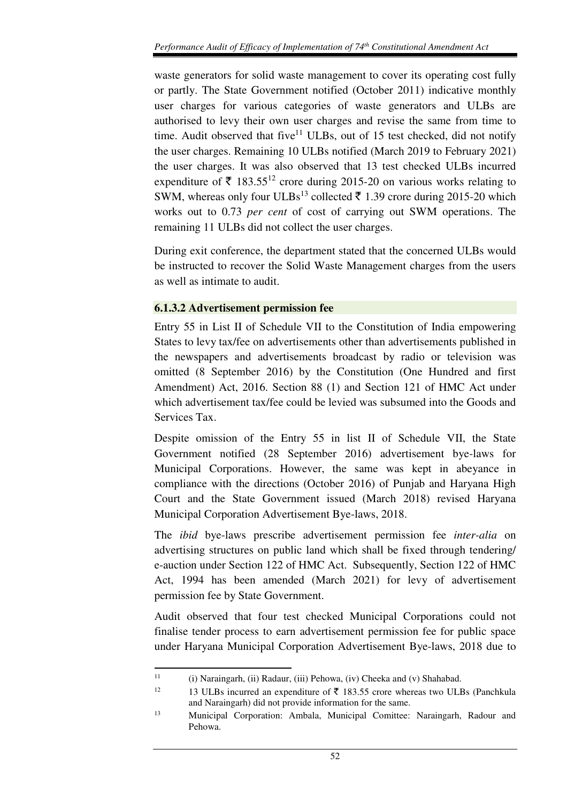waste generators for solid waste management to cover its operating cost fully or partly. The State Government notified (October 2011) indicative monthly user charges for various categories of waste generators and ULBs are authorised to levy their own user charges and revise the same from time to time. Audit observed that five $11$  ULBs, out of 15 test checked, did not notify the user charges. Remaining 10 ULBs notified (March 2019 to February 2021) the user charges. It was also observed that 13 test checked ULBs incurred expenditure of  $\bar{\tau}$  183.55<sup>12</sup> crore during 2015-20 on various works relating to SWM, whereas only four ULBs<sup>13</sup> collected  $\bar{\tau}$  1.39 crore during 2015-20 which works out to 0.73 *per cent* of cost of carrying out SWM operations. The remaining 11 ULBs did not collect the user charges.

During exit conference, the department stated that the concerned ULBs would be instructed to recover the Solid Waste Management charges from the users as well as intimate to audit.

## **6.1.3.2 Advertisement permission fee**

Entry 55 in List II of Schedule VII to the Constitution of India empowering States to levy tax/fee on advertisements other than advertisements published in the newspapers and advertisements broadcast by radio or television was omitted (8 September 2016) by the Constitution (One Hundred and first Amendment) Act, 2016. Section 88 (1) and Section 121 of HMC Act under which advertisement tax/fee could be levied was subsumed into the Goods and Services Tax.

Despite omission of the Entry 55 in list II of Schedule VII, the State Government notified (28 September 2016) advertisement bye-laws for Municipal Corporations. However, the same was kept in abeyance in compliance with the directions (October 2016) of Punjab and Haryana High Court and the State Government issued (March 2018) revised Haryana Municipal Corporation Advertisement Bye-laws, 2018.

The *ibid* bye-laws prescribe advertisement permission fee *inter-alia* on advertising structures on public land which shall be fixed through tendering/ e-auction under Section 122 of HMC Act. Subsequently, Section 122 of HMC Act, 1994 has been amended (March 2021) for levy of advertisement permission fee by State Government.

Audit observed that four test checked Municipal Corporations could not finalise tender process to earn advertisement permission fee for public space under Haryana Municipal Corporation Advertisement Bye-laws, 2018 due to

 $\overline{a}$ 

<sup>&</sup>lt;sup>11</sup> (i) Naraingarh, (ii) Radaur, (iii) Pehowa, (iv) Cheeka and (v) Shahabad.

<sup>&</sup>lt;sup>12</sup> 13 ULBs incurred an expenditure of  $\bar{\tau}$  183.55 crore whereas two ULBs (Panchkula and Naraingarh) did not provide information for the same.

<sup>13</sup> Municipal Corporation: Ambala, Municipal Comittee: Naraingarh, Radour and Pehowa.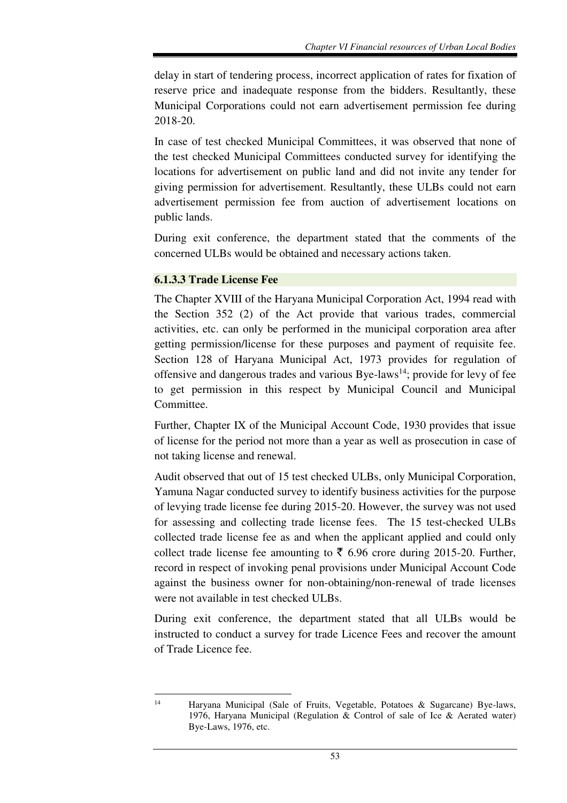delay in start of tendering process, incorrect application of rates for fixation of reserve price and inadequate response from the bidders. Resultantly, these Municipal Corporations could not earn advertisement permission fee during 2018-20.

In case of test checked Municipal Committees, it was observed that none of the test checked Municipal Committees conducted survey for identifying the locations for advertisement on public land and did not invite any tender for giving permission for advertisement. Resultantly, these ULBs could not earn advertisement permission fee from auction of advertisement locations on public lands.

During exit conference, the department stated that the comments of the concerned ULBs would be obtained and necessary actions taken.

### **6.1.3.3 Trade License Fee**

l

The Chapter XVIII of the Haryana Municipal Corporation Act, 1994 read with the Section 352 (2) of the Act provide that various trades, commercial activities, etc. can only be performed in the municipal corporation area after getting permission/license for these purposes and payment of requisite fee. Section 128 of Haryana Municipal Act, 1973 provides for regulation of offensive and dangerous trades and various Bye-laws<sup>14</sup>; provide for levy of fee to get permission in this respect by Municipal Council and Municipal Committee.

Further, Chapter IX of the Municipal Account Code, 1930 provides that issue of license for the period not more than a year as well as prosecution in case of not taking license and renewal.

Audit observed that out of 15 test checked ULBs, only Municipal Corporation, Yamuna Nagar conducted survey to identify business activities for the purpose of levying trade license fee during 2015-20. However, the survey was not used for assessing and collecting trade license fees. The 15 test-checked ULBs collected trade license fee as and when the applicant applied and could only collect trade license fee amounting to  $\bar{\xi}$  6.96 crore during 2015-20. Further, record in respect of invoking penal provisions under Municipal Account Code against the business owner for non-obtaining/non-renewal of trade licenses were not available in test checked ULBs.

During exit conference, the department stated that all ULBs would be instructed to conduct a survey for trade Licence Fees and recover the amount of Trade Licence fee.

<sup>14</sup> Haryana Municipal (Sale of Fruits, Vegetable, Potatoes & Sugarcane) Bye-laws, 1976, Haryana Municipal (Regulation & Control of sale of Ice & Aerated water) Bye-Laws, 1976, etc.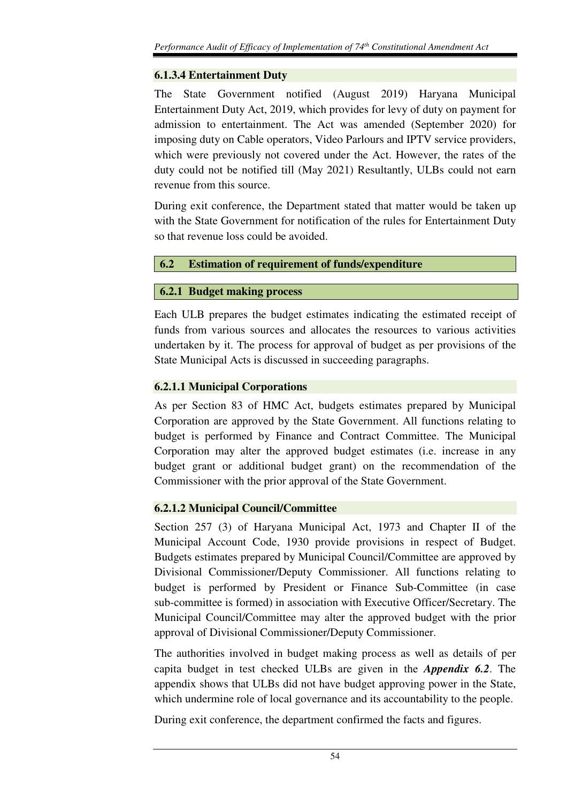### **6.1.3.4 Entertainment Duty**

The State Government notified (August 2019) Haryana Municipal Entertainment Duty Act, 2019, which provides for levy of duty on payment for admission to entertainment. The Act was amended (September 2020) for imposing duty on Cable operators, Video Parlours and IPTV service providers, which were previously not covered under the Act. However, the rates of the duty could not be notified till (May 2021) Resultantly, ULBs could not earn revenue from this source.

During exit conference, the Department stated that matter would be taken up with the State Government for notification of the rules for Entertainment Duty so that revenue loss could be avoided.

## **6.2 Estimation of requirement of funds/expenditure**

## **6.2.1 Budget making process**

Each ULB prepares the budget estimates indicating the estimated receipt of funds from various sources and allocates the resources to various activities undertaken by it. The process for approval of budget as per provisions of the State Municipal Acts is discussed in succeeding paragraphs.

# **6.2.1.1 Municipal Corporations**

As per Section 83 of HMC Act, budgets estimates prepared by Municipal Corporation are approved by the State Government. All functions relating to budget is performed by Finance and Contract Committee. The Municipal Corporation may alter the approved budget estimates (i.e. increase in any budget grant or additional budget grant) on the recommendation of the Commissioner with the prior approval of the State Government.

# **6.2.1.2 Municipal Council/Committee**

Section 257 (3) of Haryana Municipal Act, 1973 and Chapter II of the Municipal Account Code, 1930 provide provisions in respect of Budget. Budgets estimates prepared by Municipal Council/Committee are approved by Divisional Commissioner/Deputy Commissioner. All functions relating to budget is performed by President or Finance Sub-Committee (in case sub-committee is formed) in association with Executive Officer/Secretary. The Municipal Council/Committee may alter the approved budget with the prior approval of Divisional Commissioner/Deputy Commissioner.

The authorities involved in budget making process as well as details of per capita budget in test checked ULBs are given in the *Appendix 6.2*. The appendix shows that ULBs did not have budget approving power in the State, which undermine role of local governance and its accountability to the people.

During exit conference, the department confirmed the facts and figures.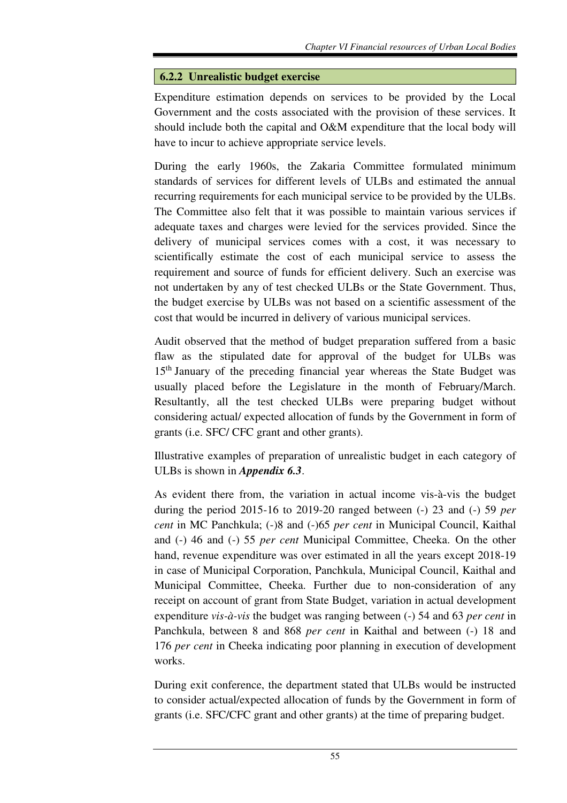### **6.2.2 Unrealistic budget exercise**

Expenditure estimation depends on services to be provided by the Local Government and the costs associated with the provision of these services. It should include both the capital and O&M expenditure that the local body will have to incur to achieve appropriate service levels.

During the early 1960s, the Zakaria Committee formulated minimum standards of services for different levels of ULBs and estimated the annual recurring requirements for each municipal service to be provided by the ULBs. The Committee also felt that it was possible to maintain various services if adequate taxes and charges were levied for the services provided. Since the delivery of municipal services comes with a cost, it was necessary to scientifically estimate the cost of each municipal service to assess the requirement and source of funds for efficient delivery. Such an exercise was not undertaken by any of test checked ULBs or the State Government. Thus, the budget exercise by ULBs was not based on a scientific assessment of the cost that would be incurred in delivery of various municipal services.

Audit observed that the method of budget preparation suffered from a basic flaw as the stipulated date for approval of the budget for ULBs was 15<sup>th</sup> January of the preceding financial year whereas the State Budget was usually placed before the Legislature in the month of February/March. Resultantly, all the test checked ULBs were preparing budget without considering actual/ expected allocation of funds by the Government in form of grants (i.e. SFC/ CFC grant and other grants).

Illustrative examples of preparation of unrealistic budget in each category of ULBs is shown in *Appendix 6.3*.

As evident there from, the variation in actual income vis-à-vis the budget during the period 2015-16 to 2019-20 ranged between (-) 23 and (-) 59 *per cent* in MC Panchkula; (-)8 and (-)65 *per cent* in Municipal Council, Kaithal and (-) 46 and (-) 55 *per cent* Municipal Committee, Cheeka. On the other hand, revenue expenditure was over estimated in all the years except 2018-19 in case of Municipal Corporation, Panchkula, Municipal Council, Kaithal and Municipal Committee, Cheeka. Further due to non-consideration of any receipt on account of grant from State Budget, variation in actual development expenditure *vis-à-vis* the budget was ranging between (-) 54 and 63 *per cent* in Panchkula, between 8 and 868 *per cent* in Kaithal and between (-) 18 and 176 *per cent* in Cheeka indicating poor planning in execution of development works.

During exit conference, the department stated that ULBs would be instructed to consider actual/expected allocation of funds by the Government in form of grants (i.e. SFC/CFC grant and other grants) at the time of preparing budget.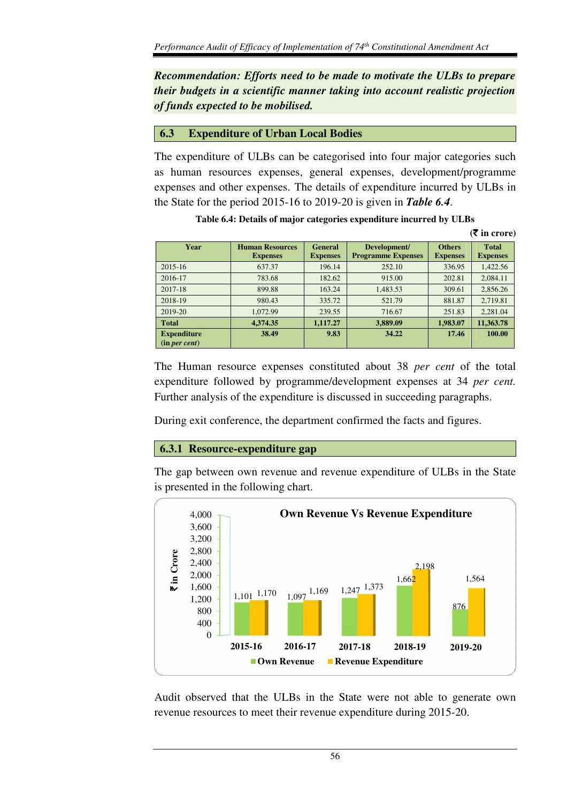*Recommendation: Efforts need to be made to motivate the ULBs to prepare their budgets in a scientific manner taking into account realistic projection of funds expected to be mobilised.* 

#### **6.3 Expenditure of Urban Local Bodies**

The expenditure of ULBs can be categorised into four major categories such as human resources expenses, general expenses, development/programme expenses and other expenses. The details of expenditure incurred by ULBs in the State for the period 2015-16 to 2019-20 is given in *Table 6.4*.

|                                     |                                           |                                   |                                           |                                  | (VIII CLUIT)                    |
|-------------------------------------|-------------------------------------------|-----------------------------------|-------------------------------------------|----------------------------------|---------------------------------|
| Year                                | <b>Human Resources</b><br><b>Expenses</b> | <b>General</b><br><b>Expenses</b> | Development/<br><b>Programme Expenses</b> | <b>Others</b><br><b>Expenses</b> | <b>Total</b><br><b>Expenses</b> |
| $2015 - 16$                         | 637.37                                    | 196.14                            | 252.10                                    | 336.95                           | 1,422.56                        |
| 2016-17                             | 783.68                                    | 182.62                            | 915.00                                    | 202.81                           | 2,084.11                        |
| 2017-18                             | 899.88                                    | 163.24                            | 1,483.53                                  | 309.61                           | 2,856.26                        |
| 2018-19                             | 980.43                                    | 335.72                            | 521.79                                    | 881.87                           | 2,719.81                        |
| 2019-20                             | 1.072.99                                  | 239.55                            | 716.67                                    | 251.83                           | 2,281.04                        |
| <b>Total</b>                        | 4,374.35                                  | 1,117.27                          | 3,889.09                                  | 1,983.07                         | 11,363.78                       |
| <b>Expenditure</b><br>(in per cent) | 38.49                                     | 9.83                              | 34.22                                     | 17.46                            | 100.00                          |

**Table 6.4: Details of major categories expenditure incurred by ULBs** 

**(**` **in crore)** 

The Human resource expenses constituted about 38 *per cent* of the total expenditure followed by programme/development expenses at 34 *per cent.*  Further analysis of the expenditure is discussed in succeeding paragraphs.

During exit conference, the department confirmed the facts and figures.

### **6.3.1 Resource-expenditure gap**

The gap between own revenue and revenue expenditure of ULBs in the State is presented in the following chart.



Audit observed that the ULBs in the State were not able to generate own revenue resources to meet their revenue expenditure during 2015-20.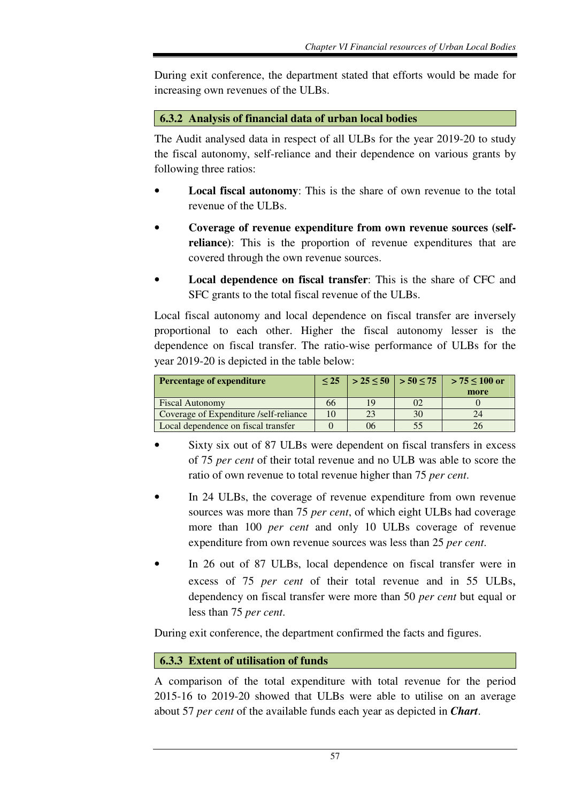During exit conference, the department stated that efforts would be made for increasing own revenues of the ULBs.

### **6.3.2 Analysis of financial data of urban local bodies**

The Audit analysed data in respect of all ULBs for the year 2019-20 to study the fiscal autonomy, self-reliance and their dependence on various grants by following three ratios:

- **Local fiscal autonomy**: This is the share of own revenue to the total revenue of the ULBs.
- **Coverage of revenue expenditure from own revenue sources (selfreliance)**: This is the proportion of revenue expenditures that are covered through the own revenue sources.
- **Local dependence on fiscal transfer**: This is the share of CFC and SFC grants to the total fiscal revenue of the ULBs.

Local fiscal autonomy and local dependence on fiscal transfer are inversely proportional to each other. Higher the fiscal autonomy lesser is the dependence on fiscal transfer. The ratio-wise performance of ULBs for the year 2019-20 is depicted in the table below:

| <b>Percentage of expenditure</b>       |    |    | $  > 25 \leq 50   > 50 \leq 75  $ | $> 75 \le 100$ or |
|----------------------------------------|----|----|-----------------------------------|-------------------|
|                                        |    |    |                                   | more              |
| <b>Fiscal Autonomy</b>                 | 66 | 19 | 02                                |                   |
| Coverage of Expenditure /self-reliance | 10 |    | 30                                |                   |
| Local dependence on fiscal transfer    |    | 06 |                                   |                   |

- Sixty six out of 87 ULBs were dependent on fiscal transfers in excess of 75 *per cent* of their total revenue and no ULB was able to score the ratio of own revenue to total revenue higher than 75 *per cent*.
- In 24 ULBs, the coverage of revenue expenditure from own revenue sources was more than 75 *per cent*, of which eight ULBs had coverage more than 100 *per cent* and only 10 ULBs coverage of revenue expenditure from own revenue sources was less than 25 *per cent*.
- In 26 out of 87 ULBs, local dependence on fiscal transfer were in excess of 75 *per cent* of their total revenue and in 55 ULBs, dependency on fiscal transfer were more than 50 *per cent* but equal or less than 75 *per cent*.

During exit conference, the department confirmed the facts and figures.

### **6.3.3 Extent of utilisation of funds**

A comparison of the total expenditure with total revenue for the period 2015-16 to 2019-20 showed that ULBs were able to utilise on an average about 57 *per cent* of the available funds each year as depicted in *Chart*.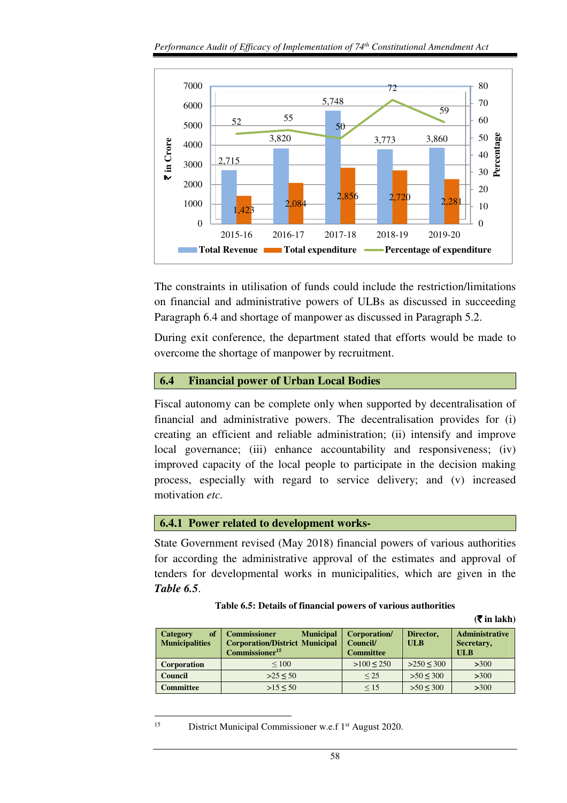

The constraints in utilisation of funds could include the restriction/limitations on financial and administrative powers of ULBs as discussed in succeeding Paragraph 6.4 and shortage of manpower as discussed in Paragraph 5.2.

During exit conference, the department stated that efforts would be made to overcome the shortage of manpower by recruitment.

#### **6.4 Financial power of Urban Local Bodies**

Fiscal autonomy can be complete only when supported by decentralisation of financial and administrative powers. The decentralisation provides for (i) creating an efficient and reliable administration; (ii) intensify and improve local governance; (iii) enhance accountability and responsiveness; (iv) improved capacity of the local people to participate in the decision making process, especially with regard to service delivery; and (v) increased motivation *etc.* 

### **6.4.1 Power related to development works-**

State Government revised (May 2018) financial powers of various authorities for according the administrative approval of the estimates and approval of tenders for developmental works in municipalities, which are given in the *Table 6.5*.

#### **Table 6.5: Details of financial powers of various authorities**

 $(\overline{\mathbf{\overline{z}}}$  in lakh)

| of<br><b>Category</b><br><b>Municipalities</b> | <b>Commissioner</b><br><b>Municipal</b><br><b>Corporation/District Municipal</b><br>$Commissioner15$ | Corporation/<br><b>Council/</b><br><b>Committee</b> | Director,<br>ULB | <b>Administrative</b><br>Secretary,<br><b>ULB</b> |
|------------------------------------------------|------------------------------------------------------------------------------------------------------|-----------------------------------------------------|------------------|---------------------------------------------------|
| <b>Corporation</b>                             | ${}_{\leq 100}$                                                                                      | $>100 \le 250$                                      | >250 < 300       | $>300$                                            |
| <b>Council</b>                                 | >25 < 50                                                                                             | < 25                                                | >50 < 300        | $>300$                                            |
| Committee                                      | $>15 \le 50$                                                                                         | $\leq 15$                                           | >50 < 300        | $>300$                                            |

<sup>15</sup> District Municipal Commissioner w.e.f 1<sup>st</sup> August 2020.

l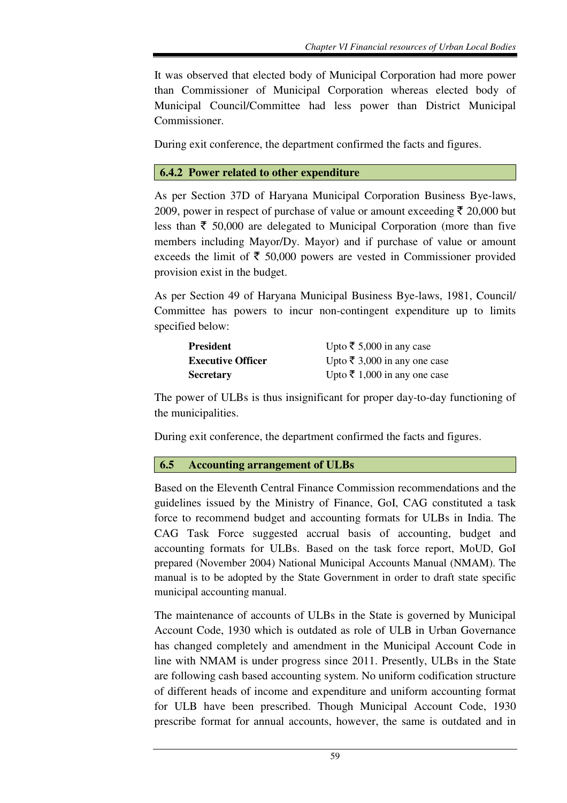It was observed that elected body of Municipal Corporation had more power than Commissioner of Municipal Corporation whereas elected body of Municipal Council/Committee had less power than District Municipal Commissioner.

During exit conference, the department confirmed the facts and figures.

### **6.4.2 Power related to other expenditure**

As per Section 37D of Haryana Municipal Corporation Business Bye-laws, 2009, power in respect of purchase of value or amount exceeding  $\bar{\tau}$  20,000 but less than  $\bar{\tau}$  50,000 are delegated to Municipal Corporation (more than five members including Mayor/Dy. Mayor) and if purchase of value or amount exceeds the limit of  $\bar{\tau}$  50,000 powers are vested in Commissioner provided provision exist in the budget.

As per Section 49 of Haryana Municipal Business Bye-laws, 1981, Council/ Committee has powers to incur non-contingent expenditure up to limits specified below:

| <b>President</b>         | Upto ₹ 5,000 in any case     |
|--------------------------|------------------------------|
| <b>Executive Officer</b> | Upto ₹ 3,000 in any one case |
| <b>Secretary</b>         | Upto ₹ 1,000 in any one case |

The power of ULBs is thus insignificant for proper day-to-day functioning of the municipalities.

During exit conference, the department confirmed the facts and figures.

### **6.5 Accounting arrangement of ULBs**

Based on the Eleventh Central Finance Commission recommendations and the guidelines issued by the Ministry of Finance, GoI, CAG constituted a task force to recommend budget and accounting formats for ULBs in India. The CAG Task Force suggested accrual basis of accounting, budget and accounting formats for ULBs. Based on the task force report, MoUD, GoI prepared (November 2004) National Municipal Accounts Manual (NMAM). The manual is to be adopted by the State Government in order to draft state specific municipal accounting manual.

The maintenance of accounts of ULBs in the State is governed by Municipal Account Code, 1930 which is outdated as role of ULB in Urban Governance has changed completely and amendment in the Municipal Account Code in line with NMAM is under progress since 2011. Presently, ULBs in the State are following cash based accounting system. No uniform codification structure of different heads of income and expenditure and uniform accounting format for ULB have been prescribed. Though Municipal Account Code, 1930 prescribe format for annual accounts, however, the same is outdated and in